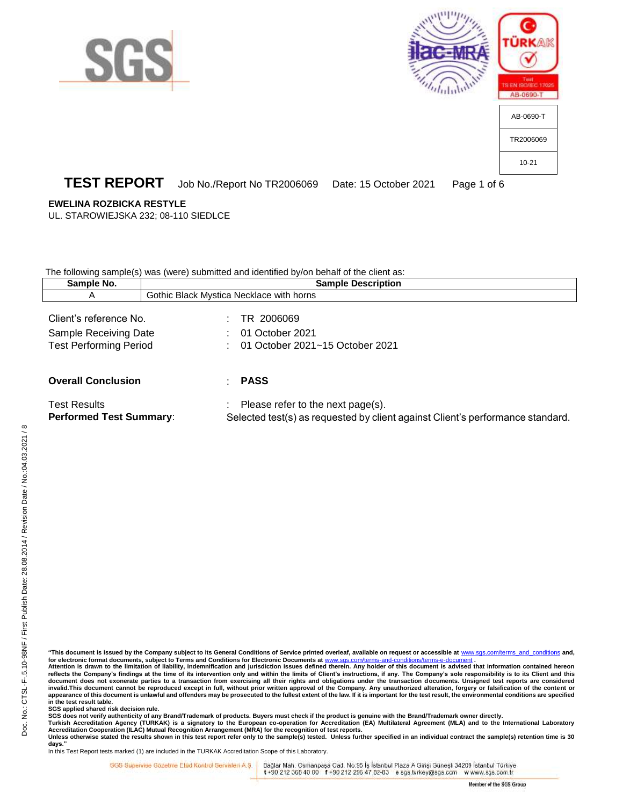





## **TEST REPORT** Job No./Report No TR2006069 Date: 15 October 2021 Page 1 of 6

#### **EWELINA ROZBICKA RESTYLE**

UL. STAROWIEJSKA 232; 08-110 SIEDLCE

The following sample(s) was (were) submitted and identified by/on behalf of the client as:

| Sample No.                                                                       | <b>Sample Description</b> |                                                                                                                     |  |
|----------------------------------------------------------------------------------|---------------------------|---------------------------------------------------------------------------------------------------------------------|--|
| $\overline{A}$                                                                   |                           | Gothic Black Mystica Necklace with horns                                                                            |  |
| Client's reference No.<br>Sample Receiving Date<br><b>Test Performing Period</b> |                           | TR 2006069<br>01 October 2021<br>01 October 2021~15 October 2021                                                    |  |
| <b>Overall Conclusion</b>                                                        |                           | PASS                                                                                                                |  |
| <b>Test Results</b><br><b>Performed Test Summary:</b>                            |                           | Please refer to the next page(s).<br>Selected test(s) as requested by client against Client's performance standard. |  |

**"This document is issued by the Company subject to its General Conditions of Service printed overleaf, available on request or accessible at** [www.sgs.com/terms\\_and\\_conditions](http://www.sgs.com/terms_and_conditions) **and,**  for electronic format documents, subject to Terms and Conditions for Electronic Documents at www.s

**Attention is drawn to the limitation of liability, indemnification and jurisdiction issues defined therein. Any holder of this document is advised that information contained hereon**  reflects the Company's findings at the time of its intervention only and within the limits of Client's instructions, if any. The Company's sole responsibility is to its Client and this document does not exonerate parties to a transaction from exercising all their rights and obligations under the transaction documents. Unsigned test reports are considered<br>invalid.This document cannot be reproduced except **appearance of this document is unlawful and offenders may be prosecuted to the fullest extent of the law. If it is important for the test result, the environmental conditions are specified in the test result table.**

**SGS applied shared risk decision rule.**

SGS does not verify authenticity of any Brand/Trademark of products. Buyers must check if the product is genuine with the Brand/Trademark owner directly.<br>Turkish Accreditation Agency (TURKAK) is a signatory to the European

**days."** 

In this Test Report tests marked (1) are included in the TURKAK Accreditation Scope of this Laboratory.

SGS Supervise Gozetine Etüd Kontrol Servisleri A.Ş. |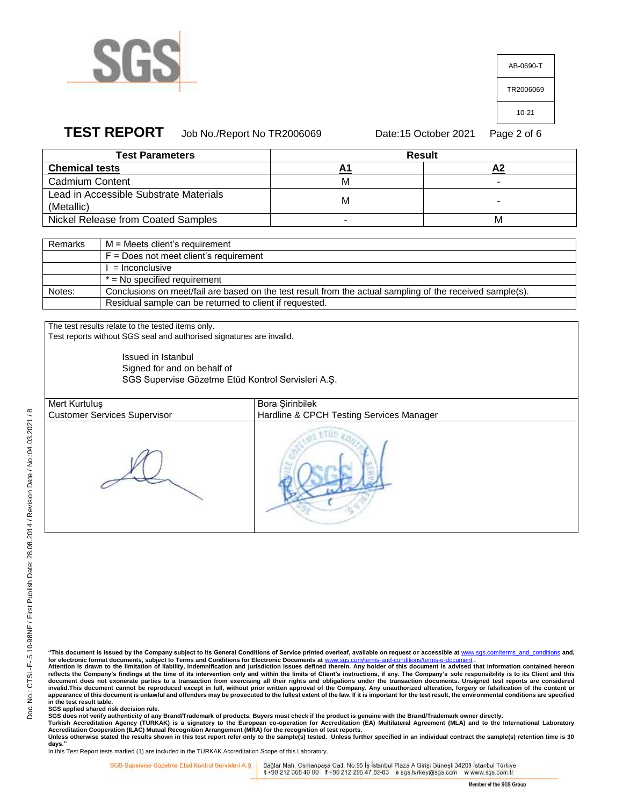

| AB-0690-T |
|-----------|
| TR2006069 |
| 10-21     |
|           |

## **TEST REPORT** Job No./Report No TR2006069 Date:15 October 2021 Page 2 of 6

| <b>Test Parameters</b>                 | <b>Result</b> |   |  |
|----------------------------------------|---------------|---|--|
| <b>Chemical tests</b>                  |               |   |  |
| <b>Cadmium Content</b>                 | М             |   |  |
| Lead in Accessible Substrate Materials | М             |   |  |
| (Metallic)                             |               |   |  |
| Nickel Release from Coated Samples     |               | м |  |

| Remarks | M = Meets client's requirement                                                                            |
|---------|-----------------------------------------------------------------------------------------------------------|
|         | $F = Does not meet client's requirement$                                                                  |
|         | $=$ Inconclusive                                                                                          |
|         | $*$ = No specified requirement                                                                            |
| Notes:  | Conclusions on meet/fail are based on the test result from the actual sampling of the received sample(s). |
|         | Residual sample can be returned to client if requested.                                                   |

The test results relate to the tested items only. Test reports without SGS seal and authorised signatures are invalid.

> Issued in Istanbul Signed for and on behalf of SGS Supervise Gözetme Etüd Kontrol Servisleri A.Ş.

Mert Kurtuluş Customer Services Supervisor

Bora Şirinbilek Hardline & CPCH Testing Services Manager

**Attention is drawn to the limitation of liability, indemnification and jurisdiction issues defined therein. Any holder of this document is advised that information contained hereon reflects the Company's findings at the time of its intervention only and within the limits of Client's instructions, if any. The Company's sole responsibility is to its Client and this**  document does not exonerate parties to a transaction from exercising all their rights and obligations under the transaction documents. Unsigned test reports are considered<br>invalid.This document cannot be reproduced except **in the test result table.**

**SGS applied shared risk decision rule.**

SGS does not verify authenticity of any Brand/Trademark of products. Buyers must check if the product is genuine with the Brand/Trademark owner directly.<br>Turkish Accreditation Agency (TURKAK) is a signatory to the European

**days."**  In this Test Report tests marked (1) are included in the TURKAK Accreditation Scope of this Laboratory.

SGS Supervise Gozetine Etud Kontrol Servisleri A.Ş.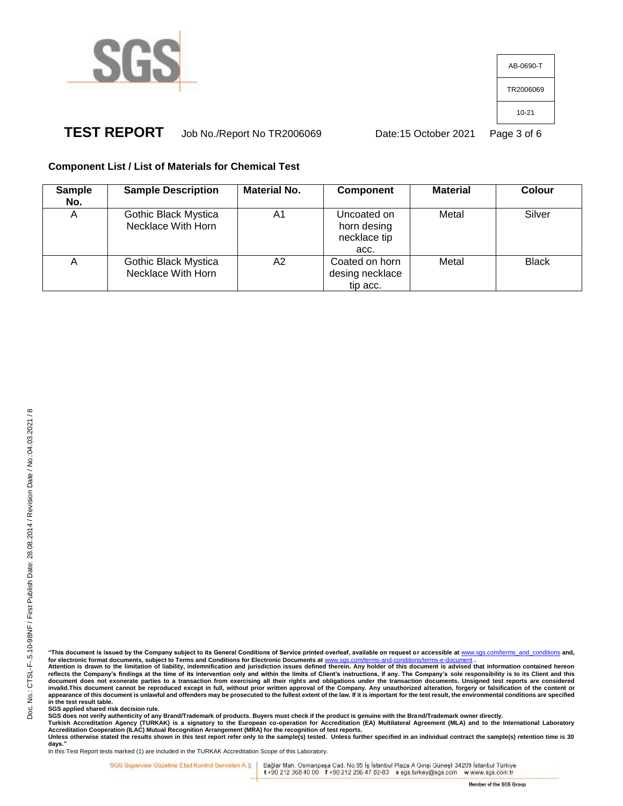

AB-0690-T TR2006069 10-21

# **TEST REPORT** Job No./Report No TR2006069 Date:15 October 2021 Page 3 of 6

### **Component List / List of Materials for Chemical Test**

| <b>Sample</b><br>No. | <b>Sample Description</b>                  | <b>Material No.</b> | <b>Component</b>                                   | <b>Material</b> | Colour       |
|----------------------|--------------------------------------------|---------------------|----------------------------------------------------|-----------------|--------------|
| A                    | Gothic Black Mystica<br>Necklace With Horn | A1                  | Uncoated on<br>horn desing<br>necklace tip<br>acc. | Metal           | Silver       |
| Α                    | Gothic Black Mystica<br>Necklace With Horn | A2                  | Coated on horn<br>desing necklace<br>tip acc.      | Metal           | <b>Black</b> |

**"This document is issued by the Company subject to its General Conditions of Service printed overleaf, available on request or accessible at** [www.sgs.com/terms\\_and\\_conditions](http://www.sgs.com/terms_and_conditions) **and,** 

for electronic format documents, subject to Terms and Conditions for Electronic Documents at <u>[www.sgs.com/terms-and-conditions/terms-e-document](http://www.sgs.com/terms-and-conditions/terms-e-document)</u> .<br>Attention is drawn to the limitation of liability, indemnification and juri **reflects the Company's findings at the time of its intervention only and within the limits of Client's instructions, if any. The Company's sole responsibility is to its Client and this**  document does not exonerate parties to a transaction from exercising all their rights and obligations under the transaction documents. Unsigned test reports are considered<br>invalid.This document cannot be reproduced except **in the test result table.**

**SGS applied shared risk decision rule.**

SGS does not verify authenticity of any Brand/Trademark of products. Buyers must check if the product is genuine with the Brand/Trademark owner directly.<br>Turkish Accreditation Agency (TURKAK) is a signatory to the European

**days."**  In this Test Report tests marked (1) are included in the TURKAK Accreditation Scope of this Laboratory.

SGS Supervise Gozetine Etud Kontrol Servisleri A.Ş.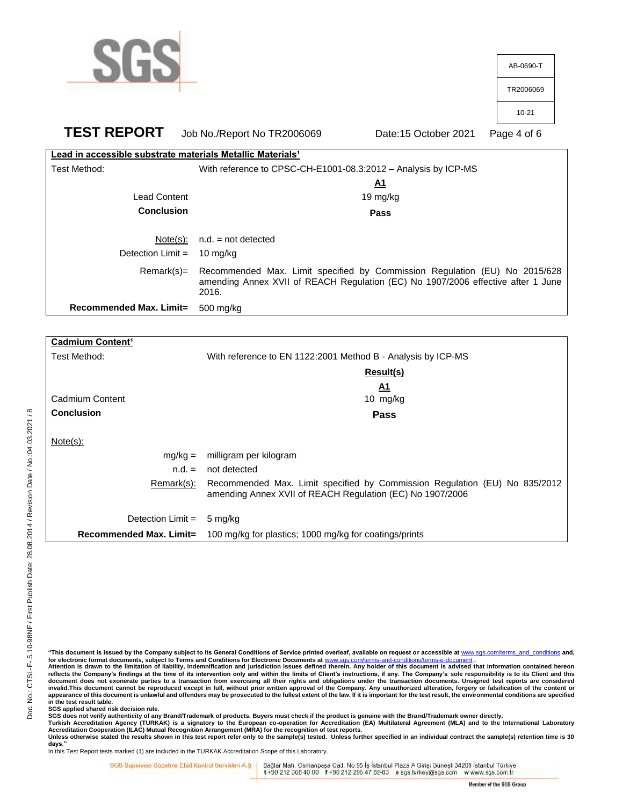

| Cadmium Content <sup>1</sup>   |                                                                            |
|--------------------------------|----------------------------------------------------------------------------|
| Test Method:                   | With reference to EN 1122:2001 Method B - Analysis by ICP-MS               |
|                                | Result(s)                                                                  |
|                                | A1                                                                         |
| Cadmium Content                | 10 $mg/kg$                                                                 |
| <b>Conclusion</b>              | <b>Pass</b>                                                                |
|                                |                                                                            |
| $Note(s)$ :                    |                                                                            |
| $mg/kg =$                      | milligram per kilogram                                                     |
| $n.d. =$                       | not detected                                                               |
| Remark(s):                     | Recommended Max. Limit specified by Commission Regulation (EU) No 835/2012 |
|                                | amending Annex XVII of REACH Regulation (EC) No 1907/2006                  |
| Detection Limit =              | 5 mg/kg                                                                    |
| <b>Recommended Max. Limit=</b> | 100 mg/kg for plastics; 1000 mg/kg for coatings/prints                     |
|                                |                                                                            |

**"This document is issued by the Company subject to its General Conditions of Service printed overleaf, available on request or accessible at** [www.sgs.com/terms\\_and\\_conditions](http://www.sgs.com/terms_and_conditions) **and,**  for electronic format documents, subject to Terms and Conditions for Electronic Documents at www.stracturerms-

**Attention is drawn to the limitation of liability, indemnification and jurisdiction issues defined therein. Any holder of this document is advised that information contained hereon reflects the Company's findings at the time of its intervention only and within the limits of Client's instructions, if any. The Company's sole responsibility is to its Client and this**  document does not exonerate parties to a transaction from exercising all their rights and obligations under the transaction documents. Unsigned test reports are considered<br>invalid.This document cannot be reproduced except **in the test result table.**

**SGS applied shared risk decision rule.**

SGS does not verify authenticity of any Brand/Trademark of products. Buyers must check if the product is genuine with the Brand/Trademark owner directly.<br>Turkish Accreditation Agency (TURKAK) is a signatory to the European

**days."** 

In this Test Report tests marked (1) are included in the TURKAK Accreditation Scope of this Laboratory.

SGS Supervise Gozetine Etüd Kontrol Servisleri A.Ş. |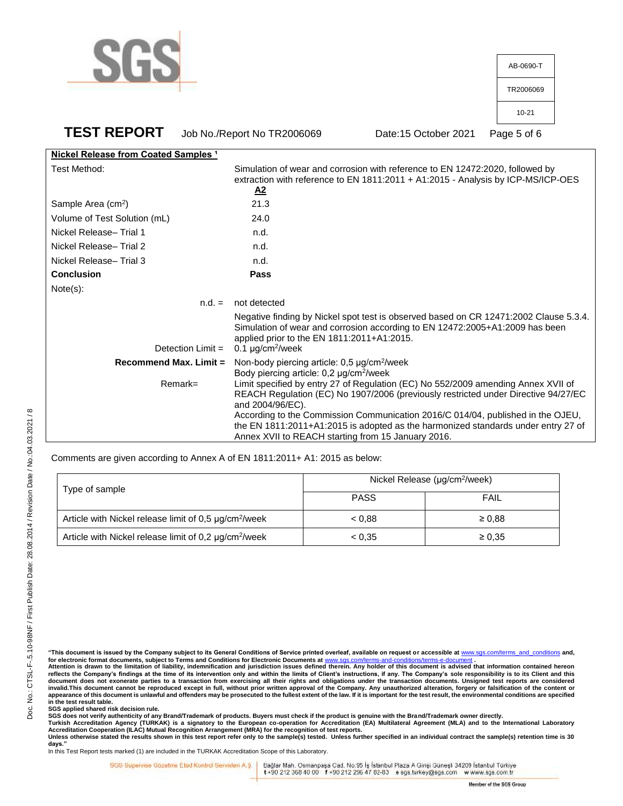

| AB-0690-T |
|-----------|
| TR2006069 |
| 10-21     |
|           |

**TEST REPORT** Job No./Report No TR2006069 Date:15 October 2021 Page 5 of 6

| Nickel Release from Coated Samples <sup>1</sup> |                                                                                                                                                                                                                                                                                                                                                                                                                           |  |
|-------------------------------------------------|---------------------------------------------------------------------------------------------------------------------------------------------------------------------------------------------------------------------------------------------------------------------------------------------------------------------------------------------------------------------------------------------------------------------------|--|
| Test Method:                                    | Simulation of wear and corrosion with reference to EN 12472:2020, followed by<br>extraction with reference to EN 1811:2011 + A1:2015 - Analysis by ICP-MS/ICP-OES<br>$\mathbf{A2}$                                                                                                                                                                                                                                        |  |
| Sample Area (cm <sup>2</sup> )                  | 21.3                                                                                                                                                                                                                                                                                                                                                                                                                      |  |
| Volume of Test Solution (mL)                    | 24.0                                                                                                                                                                                                                                                                                                                                                                                                                      |  |
| Nickel Release- Trial 1                         | n.d.                                                                                                                                                                                                                                                                                                                                                                                                                      |  |
| Nickel Release-Trial 2                          | n.d.                                                                                                                                                                                                                                                                                                                                                                                                                      |  |
| Nickel Release-Trial 3                          | n.d.                                                                                                                                                                                                                                                                                                                                                                                                                      |  |
| <b>Conclusion</b>                               | Pass                                                                                                                                                                                                                                                                                                                                                                                                                      |  |
| Note(s):                                        |                                                                                                                                                                                                                                                                                                                                                                                                                           |  |
| $n.d. =$                                        | not detected                                                                                                                                                                                                                                                                                                                                                                                                              |  |
| Detection Limit =                               | Negative finding by Nickel spot test is observed based on CR 12471:2002 Clause 5.3.4.<br>Simulation of wear and corrosion according to EN 12472:2005+A1:2009 has been<br>applied prior to the EN 1811:2011+A1:2015.<br>0.1 $\mu$ g/cm <sup>2</sup> /week                                                                                                                                                                  |  |
| <b>Recommend Max. Limit =</b>                   | Non-body piercing article: $0.5 \mu g/cm^2$ /week<br>Body piercing article: 0,2 µg/cm <sup>2</sup> /week                                                                                                                                                                                                                                                                                                                  |  |
| $Remark =$                                      | Limit specified by entry 27 of Regulation (EC) No 552/2009 amending Annex XVII of<br>REACH Regulation (EC) No 1907/2006 (previously restricted under Directive 94/27/EC<br>and 2004/96/EC).<br>According to the Commission Communication 2016/C 014/04, published in the OJEU,<br>the EN 1811:2011+A1:2015 is adopted as the harmonized standards under entry 27 of<br>Annex XVII to REACH starting from 15 January 2016. |  |

Comments are given according to Annex A of EN 1811:2011+ A1: 2015 as below:

| Type of sample                                                    | Nickel Release (µg/cm <sup>2</sup> /week) |             |  |
|-------------------------------------------------------------------|-------------------------------------------|-------------|--|
|                                                                   | <b>PASS</b>                               | FAIL        |  |
| Article with Nickel release limit of 0,5 µg/cm <sup>2</sup> /week | < 0.88                                    | $\geq 0.88$ |  |
| Article with Nickel release limit of 0,2 µg/cm <sup>2</sup> /week | < 0.35                                    | $\geq 0.35$ |  |

**reflects the Company's findings at the time of its intervention only and within the limits of Client's instructions, if any. The Company's sole responsibility is to its Client and this**  document does not exonerate parties to a transaction from exercising all their rights and obligations under the transaction documents. Unsigned test reports are considered<br>invalid.This document cannot be reproduced except **in the test result table.**

**SGS applied shared risk decision rule.**

SGS does not verify authenticity of any Brand/Trademark of products. Buyers must check if the product is genuine with the Brand/Trademark owner directly.<br>Turkish Accreditation Agency (TURKAK) is a signatory to the European

**days."** 

In this Test Report tests marked (1) are included in the TURKAK Accreditation Scope of this Laboratory.